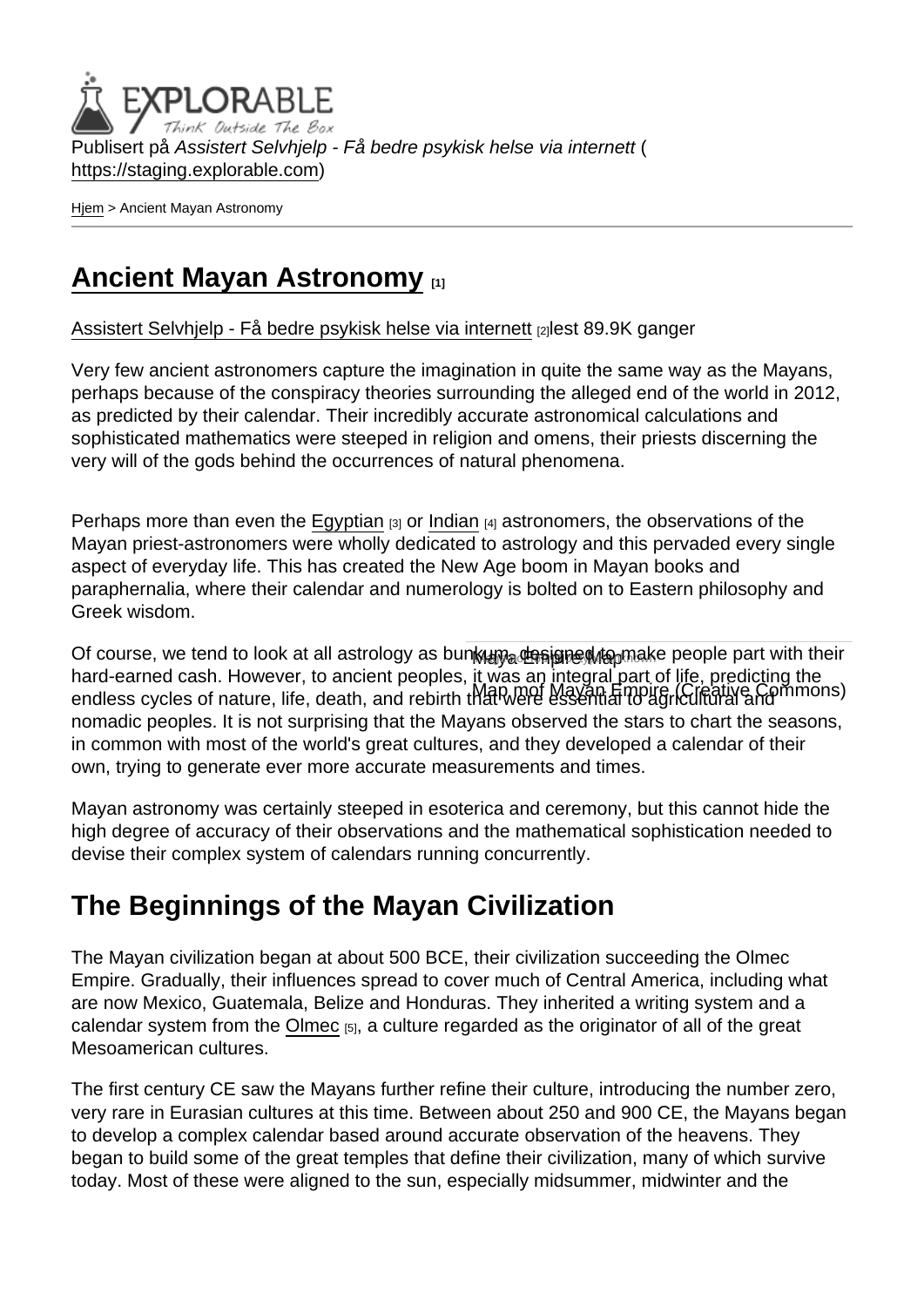Publisert på Assistert Selvhjelp - Få bedre psykisk helse via internett ( <https://staging.explorable.com>)

[Hjem](https://staging.explorable.com/) > Ancient Mayan Astronomy

### [Ancient Mayan Astronomy](https://staging.explorable.com/mayan-astronomy) [1]

[Assistert Selvhjelp - Få bedre psykisk helse via internett](https://staging.explorable.com/en) [2]lest 89.9K ganger

Very few ancient astronomers capture the imagination in quite the same way as the Mayans, perhaps because of the conspiracy theories surrounding the alleged end of the world in 2012, as predicted by their calendar. Their incredibly accurate astronomical calculations and sophisticated mathematics were steeped in religion and omens, their priests discerning the very will of the gods behind the occurrences of natural phenomena.

Perhaps more than even the [Egyptian](https://staging.explorable.com/egyptian-astronomy)  $[3]$  or [Indian](https://staging.explorable.com/indian-astronomy)  $[4]$  astronomers, the observations of the Mayan priest-astronomers were wholly dedicated to astrology and this pervaded every single aspect of everyday life. This has created the New Age boom in Mayan books and paraphernalia, where their calendar and numerology is bolted on to Eastern philosophy and Greek wisdom.

Of course, we tend to look at all astrology as bunkun a designed to make people part with their mare cannot caem nomoron, to anorom pooproo, Mayan Empire, Empire, Creative Commons) hard-earned cash. However, to ancient peoples, it was an integral part of life, predicting the nomadic peoples. It is not surprising that the Mayans observed the stars to chart the seasons, in common with most of the world's great cultures, and they developed a calendar of their own, trying to generate ever more accurate measurements and times.

Mayan astronomy was certainly steeped in esoterica and ceremony, but this cannot hide the high degree of accuracy of their observations and the mathematical sophistication needed to devise their complex system of calendars running concurrently.

# The Beginnings of the Mayan Civilization

The Mayan civilization began at about 500 BCE, their civilization succeeding the Olmec Empire. Gradually, their influences spread to cover much of Central America, including what are now Mexico, Guatemala, Belize and Honduras. They inherited a writing system and a calendar system from the [Olmec](http://en.wikipedia.org/wiki/Olmec)  $[5]$ , a culture regarded as the originator of all of the great Mesoamerican cultures.

The first century CE saw the Mayans further refine their culture, introducing the number zero, very rare in Eurasian cultures at this time. Between about 250 and 900 CE, the Mayans began to develop a complex calendar based around accurate observation of the heavens. They began to build some of the great temples that define their civilization, many of which survive today. Most of these were aligned to the sun, especially midsummer, midwinter and the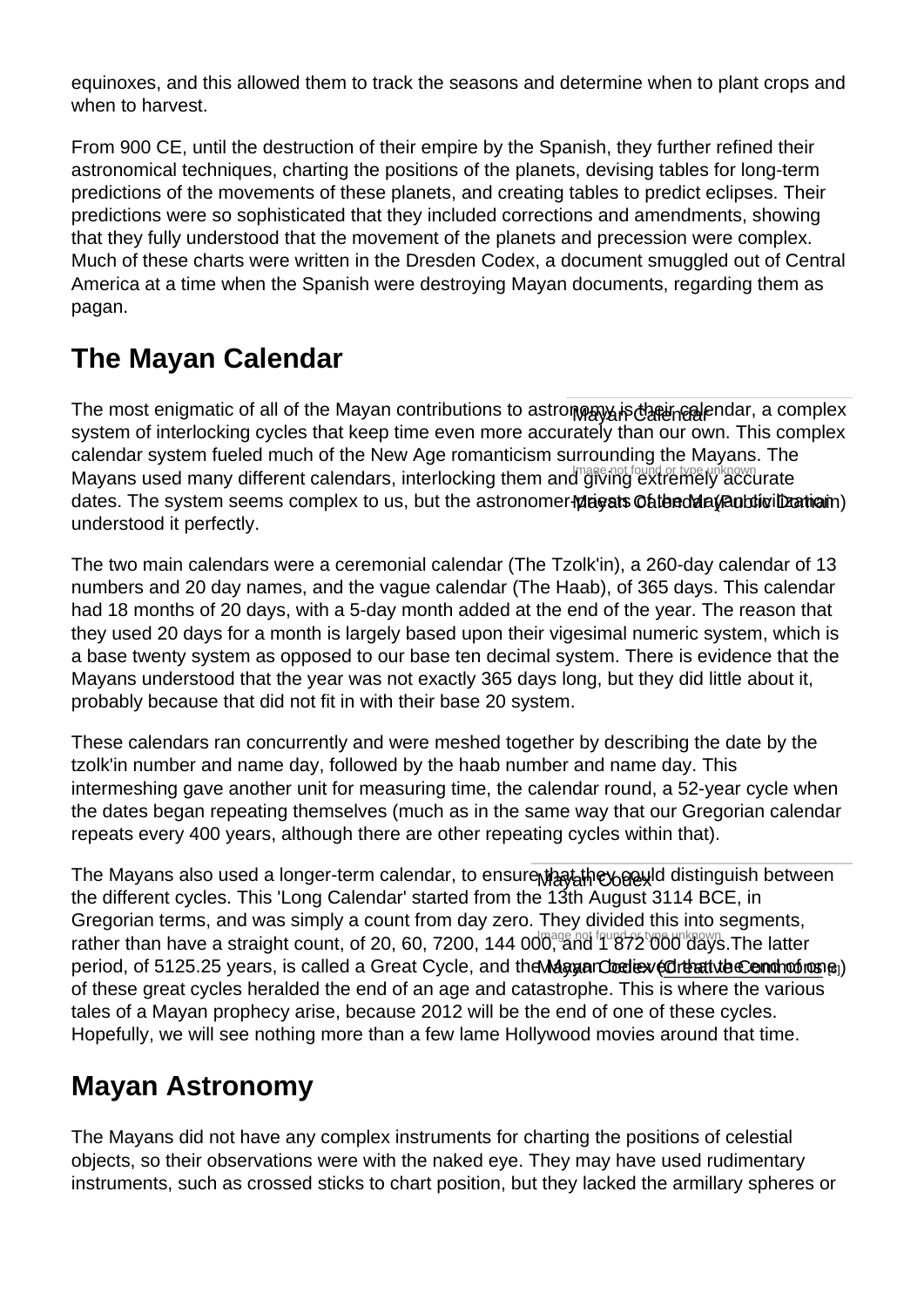equinoxes, and this allowed them to track the seasons and determine when to plant crops and when to harvest.

From 900 CE, until the destruction of their empire by the Spanish, they further refined their astronomical techniques, charting the positions of the planets, devising tables for long-term predictions of the movements of these planets, and creating tables to predict eclipses. Their predictions were so sophisticated that they included corrections and amendments, showing that they fully understood that the movement of the planets and precession were complex. Much of these charts were written in the Dresden Codex, a document smuggled out of Central America at a time when the Spanish were destroying Mayan documents, regarding them as pagan.

## The Mayan Calendar

The most enigmatic of all of the Mayan contributions to astro**n**മ്മുപ്പങ്ക്ക്രിക്ക്ലിലെ ar, a complex Mayans used many different calendars, interlocking them and giving extremely accurate dates. The system seems complex to us, but the astronomer-**priests Catend angle the mation**) system of interlocking cycles that keep time even more accurately than our own. This complex calendar system fueled much of the New Age romanticism surrounding the Mayans. The understood it perfectly.

The two main calendars were a ceremonial calendar (The Tzolk'in), a 260-day calendar of 13 numbers and 20 day names, and the vague calendar (The Haab), of 365 days. This calendar had 18 months of 20 days, with a 5-day month added at the end of the year. The reason that they used 20 days for a month is largely based upon their vigesimal numeric system, which is a base twenty system as opposed to our base ten decimal system. There is evidence that the Mayans understood that the year was not exactly 365 days long, but they did little about it, probably because that did not fit in with their base 20 system.

These calendars ran concurrently and were meshed together by describing the date by the tzolk'in number and name day, followed by the haab number and name day. This intermeshing gave another unit for measuring time, the calendar round, a 52-year cycle when the dates began repeating themselves (much as in the same way that our Gregorian calendar repeats every 400 years, although there are other repeating cycles within that).

The Mayans also used a longer-term calendar, to ensure<sub>M的码右</sub>桁eyerewid distinguish between rather than have a straight count, of 20, 60, 7200, 144 000, and 1 872 000 days. The latter period, of 5125.25 years, is called a Great Cycle, and the Maguan Condiex (CribativibeCondhoons) the different cycles. This 'Long Calendar' started from the 13th August 3114 BCE, in Gregorian terms, and was simply a count from day zero. They divided this into segments, of these great cycles heralded the end of an age and catastrophe. This is where the various tales of a Mayan prophecy arise, because 2012 will be the end of one of these cycles. Hopefully, we will see nothing more than a few lame Hollywood movies around that time.

### Mayan Astronomy

The Mayans did not have any complex instruments for charting the positions of celestial objects, so their observations were with the naked eye. They may have used rudimentary instruments, such as crossed sticks to chart position, but they lacked the armillary spheres or